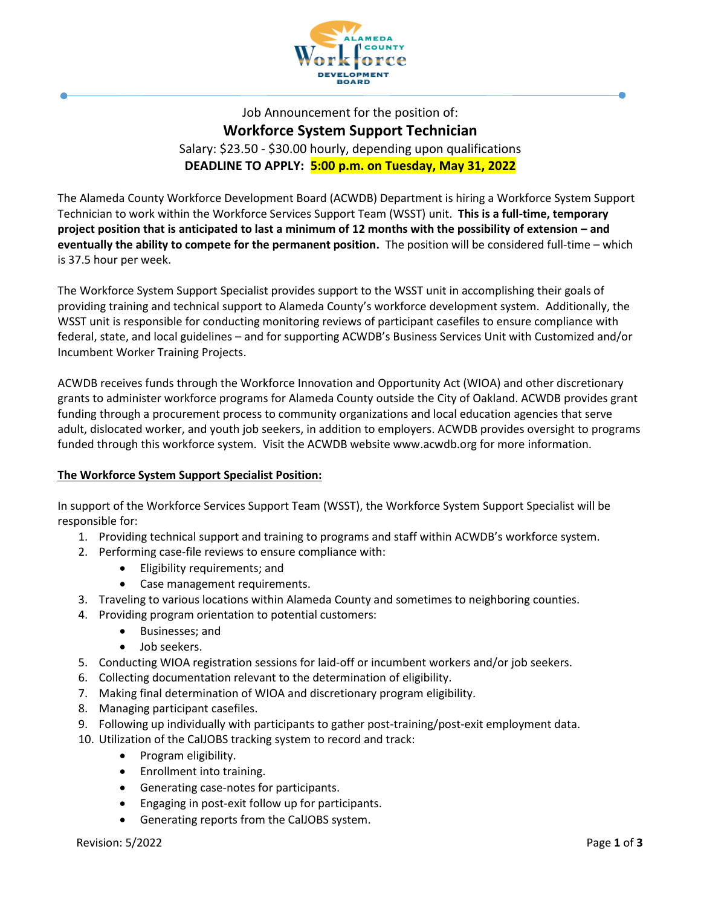

Job Announcement for the position of: **Workforce System Support Technician** Salary: \$23.50 - \$30.00 hourly, depending upon qualifications **DEADLINE TO APPLY: 5:00 p.m. on Tuesday, May 31, 2022**

The Alameda County Workforce Development Board (ACWDB) Department is hiring a Workforce System Support Technician to work within the Workforce Services Support Team (WSST) unit. **This is a full-time, temporary project position that is anticipated to last a minimum of 12 months with the possibility of extension – and eventually the ability to compete for the permanent position.** The position will be considered full-time – which is 37.5 hour per week.

The Workforce System Support Specialist provides support to the WSST unit in accomplishing their goals of providing training and technical support to Alameda County's workforce development system. Additionally, the WSST unit is responsible for conducting monitoring reviews of participant casefiles to ensure compliance with federal, state, and local guidelines – and for supporting ACWDB's Business Services Unit with Customized and/or Incumbent Worker Training Projects.

ACWDB receives funds through the Workforce Innovation and Opportunity Act (WIOA) and other discretionary grants to administer workforce programs for Alameda County outside the City of Oakland. ACWDB provides grant funding through a procurement process to community organizations and local education agencies that serve adult, dislocated worker, and youth job seekers, in addition to employers. ACWDB provides oversight to programs funded through this workforce system. Visit the ACWDB website www.acwdb.org for more information.

# **The Workforce System Support Specialist Position:**

In support of the Workforce Services Support Team (WSST), the Workforce System Support Specialist will be responsible for:

- 1. Providing technical support and training to programs and staff within ACWDB's workforce system.
- 2. Performing case-file reviews to ensure compliance with:
	- Eligibility requirements; and
	- Case management requirements.
- 3. Traveling to various locations within Alameda County and sometimes to neighboring counties.
- 4. Providing program orientation to potential customers:
	- Businesses; and
	- Job seekers.
- 5. Conducting WIOA registration sessions for laid-off or incumbent workers and/or job seekers.
- 6. Collecting documentation relevant to the determination of eligibility.
- 7. Making final determination of WIOA and discretionary program eligibility.
- 8. Managing participant casefiles.
- 9. Following up individually with participants to gather post-training/post-exit employment data.
- 10. Utilization of the CalJOBS tracking system to record and track:
	- Program eligibility.
	- Enrollment into training.
	- Generating case-notes for participants.
	- Engaging in post-exit follow up for participants.
	- Generating reports from the CalJOBS system.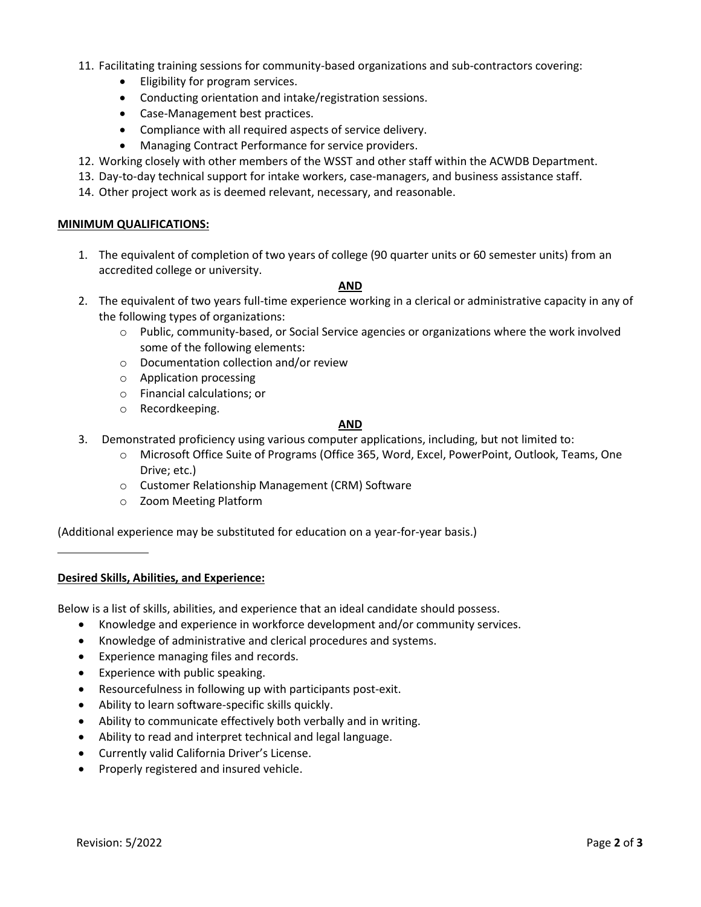- 11. Facilitating training sessions for community-based organizations and sub-contractors covering:
	- Eligibility for program services.
	- Conducting orientation and intake/registration sessions.
	- Case-Management best practices.
	- Compliance with all required aspects of service delivery.
	- Managing Contract Performance for service providers.
- 12. Working closely with other members of the WSST and other staff within the ACWDB Department.
- 13. Day-to-day technical support for intake workers, case-managers, and business assistance staff.
- 14. Other project work as is deemed relevant, necessary, and reasonable.

### **MINIMUM QUALIFICATIONS:**

1. The equivalent of completion of two years of college (90 quarter units or 60 semester units) from an accredited college or university.

#### **AND**

- 2. The equivalent of two years full-time experience working in a clerical or administrative capacity in any of the following types of organizations:
	- $\circ$  Public, community-based, or Social Service agencies or organizations where the work involved some of the following elements:
	- o Documentation collection and/or review
	- o Application processing
	- o Financial calculations; or
	- o Recordkeeping.

### **AND**

- 3. Demonstrated proficiency using various computer applications, including, but not limited to:
	- o Microsoft Office Suite of Programs (Office 365, Word, Excel, PowerPoint, Outlook, Teams, One Drive; etc.)
	- o Customer Relationship Management (CRM) Software
	- o Zoom Meeting Platform

(Additional experience may be substituted for education on a year-for-year basis.)

## **Desired Skills, Abilities, and Experience:**

Below is a list of skills, abilities, and experience that an ideal candidate should possess.

- Knowledge and experience in workforce development and/or community services.
- Knowledge of administrative and clerical procedures and systems.
- Experience managing files and records.
- Experience with public speaking.
- Resourcefulness in following up with participants post-exit.
- Ability to learn software-specific skills quickly.
- Ability to communicate effectively both verbally and in writing.
- Ability to read and interpret technical and legal language.
- Currently valid California Driver's License.
- Properly registered and insured vehicle.